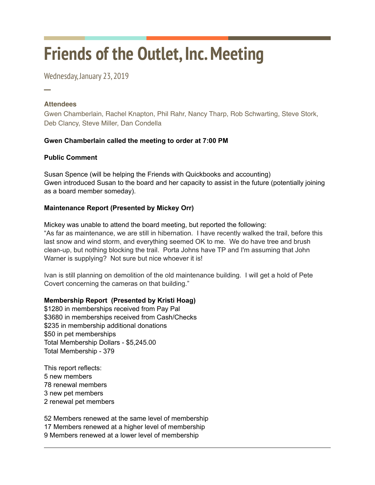# **Friends of the Outlet, Inc. Meeting**

Wednesday, January 23, 2019

## **Attendees**

─

Gwen Chamberlain, Rachel Knapton, Phil Rahr, Nancy Tharp, Rob Schwarting, Steve Stork, Deb Clancy, Steve Miller, Dan Condella

## **Gwen Chamberlain called the meeting to order at 7:00 PM**

## **Public Comment**

Susan Spence (will be helping the Friends with Quickbooks and accounting) Gwen introduced Susan to the board and her capacity to assist in the future (potentially joining as a board member someday).

## **Maintenance Report (Presented by Mickey Orr)**

Mickey was unable to attend the board meeting, but reported the following: "As far as maintenance, we are still in hibernation. I have recently walked the trail, before this last snow and wind storm, and everything seemed OK to me. We do have tree and brush clean-up, but nothing blocking the trail. Porta Johns have TP and I'm assuming that John Warner is supplying? Not sure but nice whoever it is!

Ivan is still planning on demolition of the old maintenance building. I will get a hold of Pete Covert concerning the cameras on that building."

## **Membership Report (Presented by Kristi Hoag)**

\$1280 in memberships received from Pay Pal \$3680 in memberships received from Cash/Checks \$235 in membership additional donations \$50 in pet memberships Total Membership Dollars - \$5,245.00 Total Membership - 379

This report reflects: 5 new members 78 renewal members 3 new pet members 2 renewal pet members

52 Members renewed at the same level of membership 17 Members renewed at a higher level of membership 9 Members renewed at a lower level of membership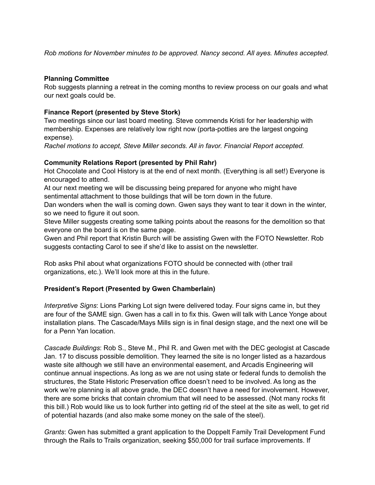*Rob motions for November minutes to be approved. Nancy second. All ayes. Minutes accepted.* 

#### **Planning Committee**

Rob suggests planning a retreat in the coming months to review process on our goals and what our next goals could be.

#### **Finance Report (presented by Steve Stork)**

Two meetings since our last board meeting. Steve commends Kristi for her leadership with membership. Expenses are relatively low right now (porta-potties are the largest ongoing expense).

*Rachel motions to accept, Steve Miller seconds. All in favor. Financial Report accepted.* 

#### **Community Relations Report (presented by Phil Rahr)**

Hot Chocolate and Cool History is at the end of next month. (Everything is all set!) Everyone is encouraged to attend.

At our next meeting we will be discussing being prepared for anyone who might have sentimental attachment to those buildings that will be torn down in the future.

Dan wonders when the wall is coming down. Gwen says they want to tear it down in the winter, so we need to figure it out soon.

Steve Miller suggests creating some talking points about the reasons for the demolition so that everyone on the board is on the same page.

Gwen and Phil report that Kristin Burch will be assisting Gwen with the FOTO Newsletter. Rob suggests contacting Carol to see if she'd like to assist on the newsletter.

Rob asks Phil about what organizations FOTO should be connected with (other trail organizations, etc.). We'll look more at this in the future.

#### **President's Report (Presented by Gwen Chamberlain)**

*Interpretive Signs*: Lions Parking Lot sign twere delivered today. Four signs came in, but they are four of the SAME sign. Gwen has a call in to fix this. Gwen will talk with Lance Yonge about installation plans. The Cascade/Mays Mills sign is in final design stage, and the next one will be for a Penn Yan location.

*Cascade Buildings*: Rob S., Steve M., Phil R. and Gwen met with the DEC geologist at Cascade Jan. 17 to discuss possible demolition. They learned the site is no longer listed as a hazardous waste site although we still have an environmental easement, and Arcadis Engineering will continue annual inspections. As long as we are not using state or federal funds to demolish the structures, the State Historic Preservation office doesn't need to be involved. As long as the work we're planning is all above grade, the DEC doesn't have a need for involvement. However, there are some bricks that contain chromium that will need to be assessed. (Not many rocks fit this bill.) Rob would like us to look further into getting rid of the steel at the site as well, to get rid of potential hazards (and also make some money on the sale of the steel).

*Grants*: Gwen has submitted a grant application to the Doppelt Family Trail Development Fund through the Rails to Trails organization, seeking \$50,000 for trail surface improvements. If